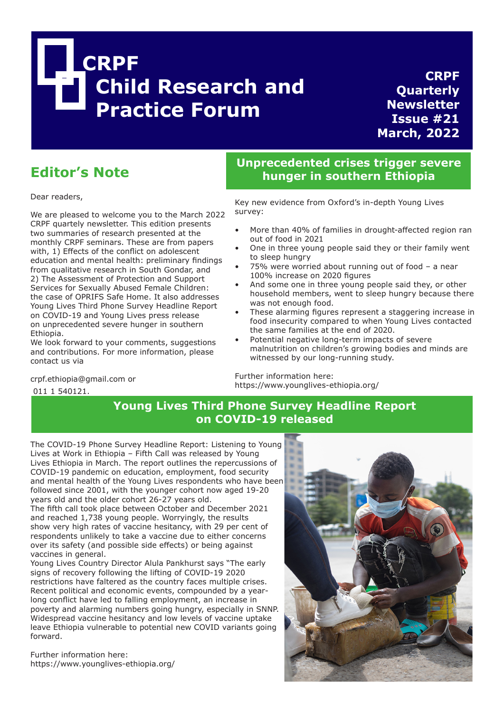

**CRPF Quarterly Newsletter Issue #21 March, 2022**

# **Editor's Note**

crpf.ethiopia@gmail.com or

011 1 540121.

Dear readers,

We are pleased to welcome you to the March 2022 CRPF quartely newsletter. This edition presents two summaries of research presented at the monthly CRPF seminars. These are from papers with, 1) Effects of the conflict on adolescent education and mental health: preliminary findings from qualitative research in South Gondar, and 2) The Assessment of Protection and Support Services for Sexually Abused Female Children: the case of OPRIFS Safe Home. It also addresses Young Lives Third Phone Survey Headline Report on COVID-19 and Young Lives press release on unprecedented severe hunger in southern Ethiopia.

We look forward to your comments, suggestions and contributions. For more information, please contact us via

**Unprecedented crises trigger severe hunger in southern Ethiopia**

Key new evidence from Oxford's in-depth Young Lives survey:

- More than 40% of families in drought-affected region ran out of food in 2021
- One in three young people said they or their family went to sleep hungry
- 75% were worried about running out of food  $-$  a near 100% increase on 2020 figures
- And some one in three young people said they, or other household members, went to sleep hungry because there was not enough food.
- These alarming figures represent a staggering increase in food insecurity compared to when Young Lives contacted the same families at the end of 2020.
- Potential negative long-term impacts of severe malnutrition on children's growing bodies and minds are witnessed by our long-running study.

Further information here: https://www.younglives-ethiopia.org/

# **Young Lives Third Phone Survey Headline Report on COVID-19 released**

The COVID-19 Phone Survey Headline Report: Listening to Young Lives at Work in Ethiopia – Fifth Call was released by Young Lives Ethiopia in March. The report outlines the repercussions of COVID-19 pandemic on education, employment, food security and mental health of the Young Lives respondents who have been followed since 2001, with the younger cohort now aged 19-20 years old and the older cohort 26-27 years old.

The fifth call took place between October and December 2021 and reached 1,738 young people. Worryingly, the results show very high rates of vaccine hesitancy, with 29 per cent of respondents unlikely to take a vaccine due to either concerns over its safety (and possible side effects) or being against vaccines in general.

Young Lives Country Director Alula Pankhurst says "The early signs of recovery following the lifting of COVID-19 2020 restrictions have faltered as the country faces multiple crises. Recent political and economic events, compounded by a yearlong conflict have led to falling employment, an increase in poverty and alarming numbers going hungry, especially in SNNP. Widespread vaccine hesitancy and low levels of vaccine uptake leave Ethiopia vulnerable to potential new COVID variants going forward.

Further information here: https://www.younglives-ethiopia.org/

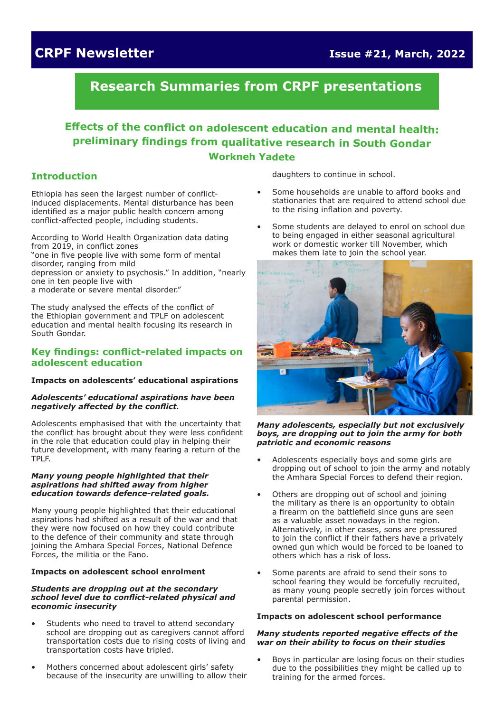# **CRPF Newsletter Issue #21, March, 2022**

# **Research Summaries from CRPF presentations**

# **Effects of the conflict on adolescent education and mental health: preliminary findings from qualitative research in South Gondar Workneh Yadete**

### **Introduction**

Ethiopia has seen the largest number of conflictinduced displacements. Mental disturbance has been identified as a major public health concern among conflict-affected people, including students.

According to World Health Organization data dating from 2019, in conflict zones "one in five people live with some form of mental disorder, ranging from mild depression or anxiety to psychosis." In addition, "nearly one in ten people live with a moderate or severe mental disorder."

The study analysed the effects of the conflict of the Ethiopian government and TPLF on adolescent education and mental health focusing its research in South Gondar.

### **Key findings: conflict-related impacts on adolescent education**

### **Impacts on adolescents' educational aspirations**

#### *Adolescents' educational aspirations have been negatively affected by the conflict.*

Adolescents emphasised that with the uncertainty that the conflict has brought about they were less confident in the role that education could play in helping their future development, with many fearing a return of the TPLF.

#### *Many young people highlighted that their aspirations had shifted away from higher education towards defence-related goals.*

Many young people highlighted that their educational aspirations had shifted as a result of the war and that they were now focused on how they could contribute to the defence of their community and state through joining the Amhara Special Forces, National Defence Forces, the militia or the Fano.

#### **Impacts on adolescent school enrolment**

#### *Students are dropping out at the secondary school level due to conflict-related physical and economic insecurity*

- Students who need to travel to attend secondary school are dropping out as caregivers cannot afford transportation costs due to rising costs of living and transportation costs have tripled.
- Mothers concerned about adolescent girls' safety because of the insecurity are unwilling to allow their

daughters to continue in school.

- Some households are unable to afford books and stationaries that are required to attend school due to the rising inflation and poverty.
- Some students are delayed to enrol on school due to being engaged in either seasonal agricultural work or domestic worker till November, which makes them late to join the school year.



*Many adolescents, especially but not exclusively boys, are dropping out to join the army for both patriotic and economic reasons*

- Adolescents especially boys and some girls are dropping out of school to join the army and notably the Amhara Special Forces to defend their region.
- Others are dropping out of school and joining the military as there is an opportunity to obtain a firearm on the battlefield since guns are seen as a valuable asset nowadays in the region. Alternatively, in other cases, sons are pressured to join the conflict if their fathers have a privately owned gun which would be forced to be loaned to others which has a risk of loss.
- Some parents are afraid to send their sons to school fearing they would be forcefully recruited, as many young people secretly join forces without parental permission.

### **Impacts on adolescent school performance**

#### *Many students reported negative effects of the war on their ability to focus on their studies*

• Boys in particular are losing focus on their studies due to the possibilities they might be called up to training for the armed forces.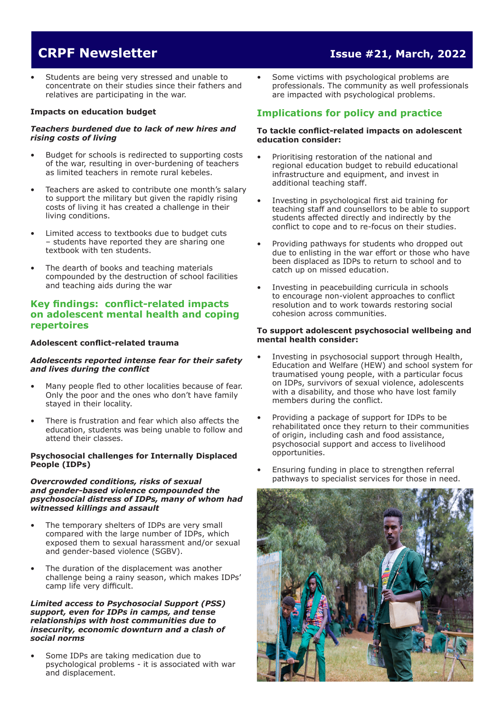# **CRPF Newsletter Issue #21, March, 2022**

Students are being very stressed and unable to concentrate on their studies since their fathers and relatives are participating in the war.

#### **Impacts on education budget**

#### *Teachers burdened due to lack of new hires and rising costs of living*

- Budget for schools is redirected to supporting costs of the war, resulting in over-burdening of teachers as limited teachers in remote rural kebeles.
- Teachers are asked to contribute one month's salary to support the military but given the rapidly rising costs of living it has created a challenge in their living conditions.
- Limited access to textbooks due to budget cuts – students have reported they are sharing one textbook with ten students.
- The dearth of books and teaching materials compounded by the destruction of school facilities and teaching aids during the war

### **Key findings: conflict-related impacts on adolescent mental health and coping repertoires**

#### **Adolescent conflict-related trauma**

#### *Adolescents reported intense fear for their safety and lives during the conflict*

- Many people fled to other localities because of fear. Only the poor and the ones who don't have family stayed in their locality.
- There is frustration and fear which also affects the education, students was being unable to follow and attend their classes.

#### **Psychosocial challenges for Internally Displaced People (IDPs)**

#### *Overcrowded conditions, risks of sexual and gender-based violence compounded the psychosocial distress of IDPs, many of whom had witnessed killings and assault*

- The temporary shelters of IDPs are very small compared with the large number of IDPs, which exposed them to sexual harassment and/or sexual and gender-based violence (SGBV).
- The duration of the displacement was another challenge being a rainy season, which makes IDPs' camp life very difficult.

#### *Limited access to Psychosocial Support (PSS) support, even for IDPs in camps, and tense relationships with host communities due to insecurity, economic downturn and a clash of social norms*

• Some IDPs are taking medication due to psychological problems - it is associated with war and displacement.

• Some victims with psychological problems are professionals. The community as well professionals are impacted with psychological problems.

## **Implications for policy and practice**

#### **To tackle conflict-related impacts on adolescent education consider:**

- Prioritising restoration of the national and regional education budget to rebuild educational infrastructure and equipment, and invest in additional teaching staff.
- Investing in psychological first aid training for teaching staff and counsellors to be able to support students affected directly and indirectly by the conflict to cope and to re-focus on their studies.
- Providing pathways for students who dropped out due to enlisting in the war effort or those who have been displaced as IDPs to return to school and to catch up on missed education.
- Investing in peacebuilding curricula in schools to encourage non-violent approaches to conflict resolution and to work towards restoring social cohesion across communities.

#### **To support adolescent psychosocial wellbeing and mental health consider:**

- Investing in psychosocial support through Health, Education and Welfare (HEW) and school system for traumatised young people, with a particular focus on IDPs, survivors of sexual violence, adolescents with a disability, and those who have lost family members during the conflict.
- Providing a package of support for IDPs to be rehabilitated once they return to their communities of origin, including cash and food assistance, psychosocial support and access to livelihood opportunities.
- Ensuring funding in place to strengthen referral pathways to specialist services for those in need.